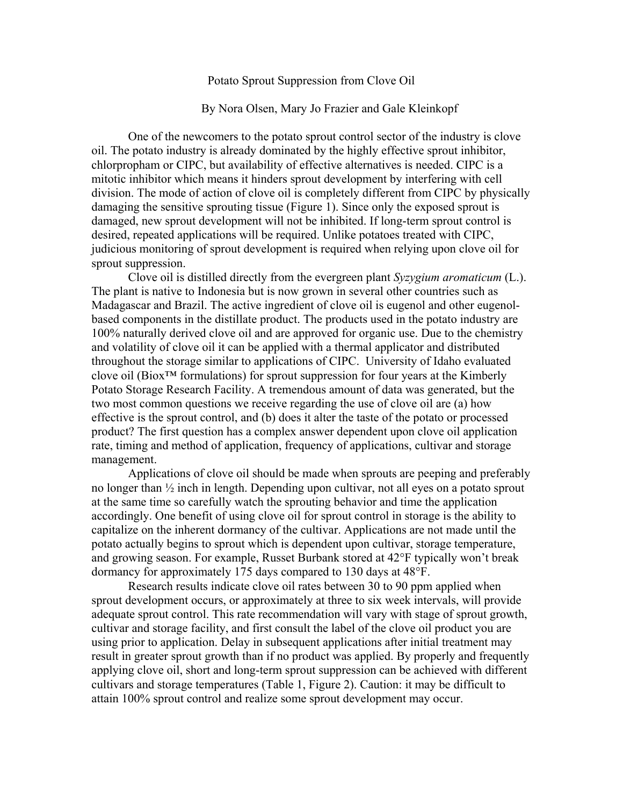## Potato Sprout Suppression from Clove Oil

## By Nora Olsen, Mary Jo Frazier and Gale Kleinkopf

One of the newcomers to the potato sprout control sector of the industry is clove oil. The potato industry is already dominated by the highly effective sprout inhibitor, chlorpropham or CIPC, but availability of effective alternatives is needed. CIPC is a mitotic inhibitor which means it hinders sprout development by interfering with cell division. The mode of action of clove oil is completely different from CIPC by physically damaging the sensitive sprouting tissue (Figure 1). Since only the exposed sprout is damaged, new sprout development will not be inhibited. If long-term sprout control is desired, repeated applications will be required. Unlike potatoes treated with CIPC, judicious monitoring of sprout development is required when relying upon clove oil for sprout suppression.

Clove oil is distilled directly from the evergreen plant *Syzygium aromaticum* (L.). The plant is native to Indonesia but is now grown in several other countries such as Madagascar and Brazil. The active ingredient of clove oil is eugenol and other eugenolbased components in the distillate product. The products used in the potato industry are 100% naturally derived clove oil and are approved for organic use. Due to the chemistry and volatility of clove oil it can be applied with a thermal applicator and distributed throughout the storage similar to applications of CIPC. University of Idaho evaluated clove oil (Biox™ formulations) for sprout suppression for four years at the Kimberly Potato Storage Research Facility. A tremendous amount of data was generated, but the two most common questions we receive regarding the use of clove oil are (a) how effective is the sprout control, and (b) does it alter the taste of the potato or processed product? The first question has a complex answer dependent upon clove oil application rate, timing and method of application, frequency of applications, cultivar and storage management.

Applications of clove oil should be made when sprouts are peeping and preferably no longer than ½ inch in length. Depending upon cultivar, not all eyes on a potato sprout at the same time so carefully watch the sprouting behavior and time the application accordingly. One benefit of using clove oil for sprout control in storage is the ability to capitalize on the inherent dormancy of the cultivar. Applications are not made until the potato actually begins to sprout which is dependent upon cultivar, storage temperature, and growing season. For example, Russet Burbank stored at 42°F typically won't break dormancy for approximately 175 days compared to 130 days at 48°F.

Research results indicate clove oil rates between 30 to 90 ppm applied when sprout development occurs, or approximately at three to six week intervals, will provide adequate sprout control. This rate recommendation will vary with stage of sprout growth, cultivar and storage facility, and first consult the label of the clove oil product you are using prior to application. Delay in subsequent applications after initial treatment may result in greater sprout growth than if no product was applied. By properly and frequently applying clove oil, short and long-term sprout suppression can be achieved with different cultivars and storage temperatures (Table 1, Figure 2). Caution: it may be difficult to attain 100% sprout control and realize some sprout development may occur.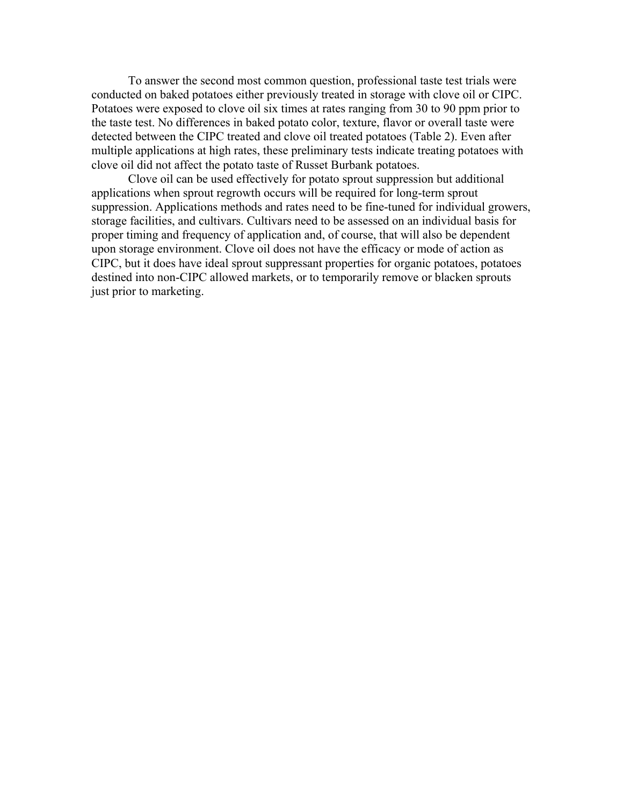To answer the second most common question, professional taste test trials were conducted on baked potatoes either previously treated in storage with clove oil or CIPC. Potatoes were exposed to clove oil six times at rates ranging from 30 to 90 ppm prior to the taste test. No differences in baked potato color, texture, flavor or overall taste were detected between the CIPC treated and clove oil treated potatoes (Table 2). Even after multiple applications at high rates, these preliminary tests indicate treating potatoes with clove oil did not affect the potato taste of Russet Burbank potatoes.

Clove oil can be used effectively for potato sprout suppression but additional applications when sprout regrowth occurs will be required for long-term sprout suppression. Applications methods and rates need to be fine-tuned for individual growers, storage facilities, and cultivars. Cultivars need to be assessed on an individual basis for proper timing and frequency of application and, of course, that will also be dependent upon storage environment. Clove oil does not have the efficacy or mode of action as CIPC, but it does have ideal sprout suppressant properties for organic potatoes, potatoes destined into non-CIPC allowed markets, or to temporarily remove or blacken sprouts just prior to marketing.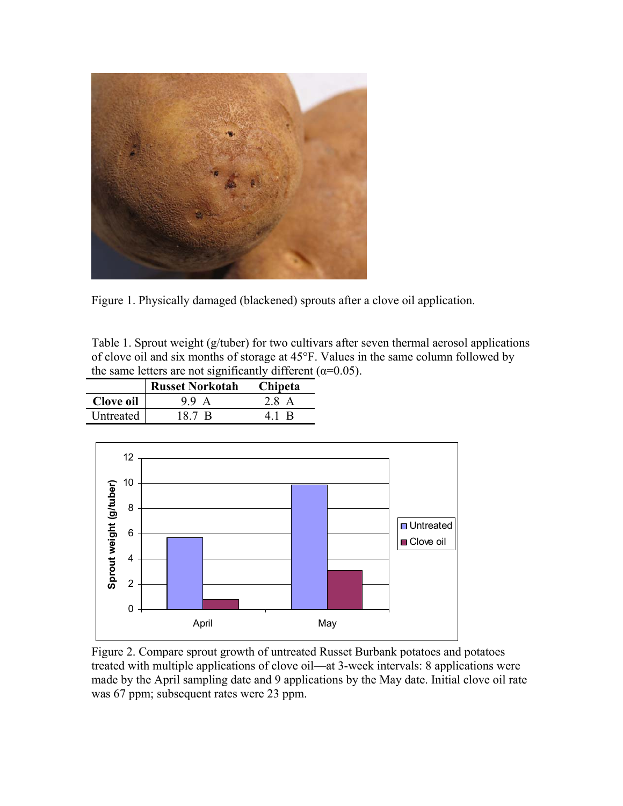

Figure 1. Physically damaged (blackened) sprouts after a clove oil application.

Table 1. Sprout weight (g/tuber) for two cultivars after seven thermal aerosol applications of clove oil and six months of storage at 45°F. Values in the same column followed by the same letters are not significantly different ( $\alpha$ =0.05).

|           | <b>Russet Norkotah</b> | <b>Chipeta</b> |  |
|-----------|------------------------|----------------|--|
| Clove oil | 99 A                   | 28 A           |  |
| Untreated | 187 B                  | 41 R           |  |



Figure 2. Compare sprout growth of untreated Russet Burbank potatoes and potatoes treated with multiple applications of clove oil—at 3-week intervals: 8 applications were made by the April sampling date and 9 applications by the May date. Initial clove oil rate was 67 ppm; subsequent rates were 23 ppm.